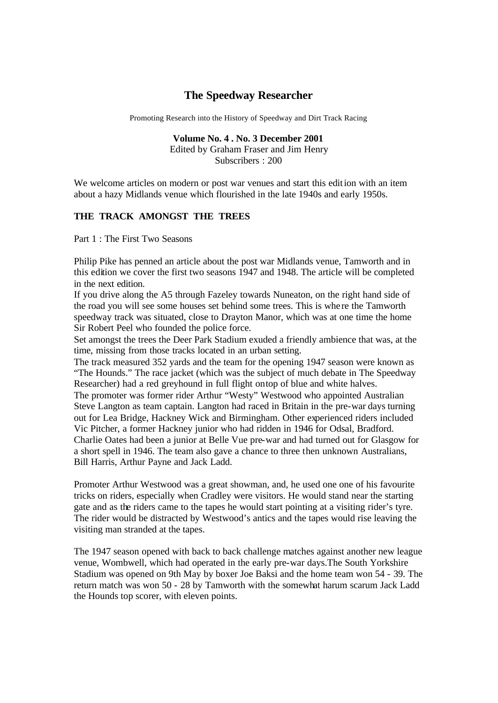# **The Speedway Researcher**

Promoting Research into the History of Speedway and Dirt Track Racing

**Volume No. 4 . No. 3 December 2001** Edited by Graham Fraser and Jim Henry Subscribers : 200

We welcome articles on modern or post war venues and start this edition with an item about a hazy Midlands venue which flourished in the late 1940s and early 1950s.

## **THE TRACK AMONGST THE TREES**

Part 1 : The First Two Seasons

Philip Pike has penned an article about the post war Midlands venue, Tamworth and in this edition we cover the first two seasons 1947 and 1948. The article will be completed in the next edition.

If you drive along the A5 through Fazeley towards Nuneaton, on the right hand side of the road you will see some houses set behind some trees. This is whe re the Tamworth speedway track was situated, close to Drayton Manor, which was at one time the home Sir Robert Peel who founded the police force.

Set amongst the trees the Deer Park Stadium exuded a friendly ambience that was, at the time, missing from those tracks located in an urban setting.

The track measured 352 yards and the team for the opening 1947 season were known as "The Hounds." The race jacket (which was the subject of much debate in The Speedway Researcher) had a red greyhound in full flight ontop of blue and white halves.

The promoter was former rider Arthur "Westy" Westwood who appointed Australian Steve Langton as team captain. Langton had raced in Britain in the pre-war days turning out for Lea Bridge, Hackney Wick and Birmingham. Other experienced riders included Vic Pitcher, a former Hackney junior who had ridden in 1946 for Odsal, Bradford. Charlie Oates had been a junior at Belle Vue pre-war and had turned out for Glasgow for a short spell in 1946. The team also gave a chance to three then unknown Australians, Bill Harris, Arthur Payne and Jack Ladd.

Promoter Arthur Westwood was a great showman, and, he used one one of his favourite tricks on riders, especially when Cradley were visitors. He would stand near the starting gate and as the riders came to the tapes he would start pointing at a visiting rider's tyre. The rider would be distracted by Westwood's antics and the tapes would rise leaving the visiting man stranded at the tapes.

The 1947 season opened with back to back challenge matches against another new league venue, Wombwell, which had operated in the early pre-war days.The South Yorkshire Stadium was opened on 9th May by boxer Joe Baksi and the home team won 54 - 39. The return match was won 50 - 28 by Tamworth with the somewhat harum scarum Jack Ladd the Hounds top scorer, with eleven points.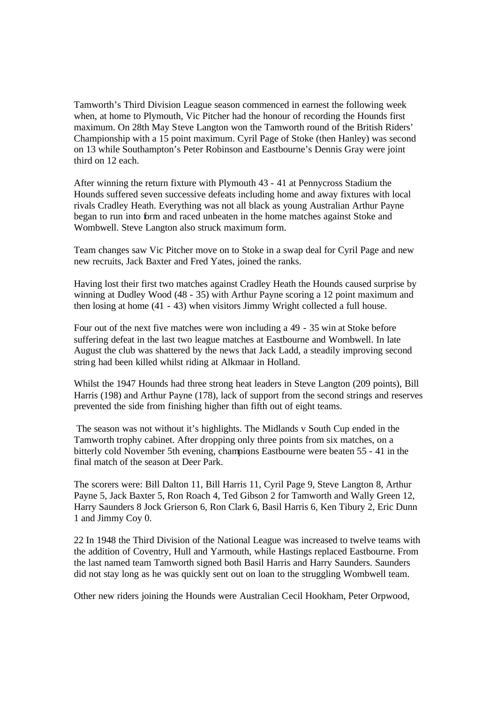Tamworth's Third Division League season commenced in earnest the following week when, at home to Plymouth, Vic Pitcher had the honour of recording the Hounds first maximum. On 28th May Steve Langton won the Tamworth round of the British Riders' Championship with a 15 point maximum. Cyril Page of Stoke (then Hanley) was second on 13 while Southampton's Peter Robinson and Eastbourne's Dennis Gray were joint third on 12 each.

After winning the return fixture with Plymouth 43 - 41 at Pennycross Stadium the Hounds suffered seven successive defeats including home and away fixtures with local rivals Cradley Heath. Everything was not all black as young Australian Arthur Payne began to run into form and raced unbeaten in the home matches against Stoke and Wombwell. Steve Langton also struck maximum form.

Team changes saw Vic Pitcher move on to Stoke in a swap deal for Cyril Page and new new recruits, Jack Baxter and Fred Yates, joined the ranks.

Having lost their first two matches against Cradley Heath the Hounds caused surprise by winning at Dudley Wood (48 - 35) with Arthur Payne scoring a 12 point maximum and then losing at home (41 - 43) when visitors Jimmy Wright collected a full house.

Four out of the next five matches were won including a 49 - 35 win at Stoke before suffering defeat in the last two league matches at Eastbourne and Wombwell. In late August the club was shattered by the news that Jack Ladd, a steadily improving second string had been killed whilst riding at Alkmaar in Holland.

Whilst the 1947 Hounds had three strong heat leaders in Steve Langton (209 points), Bill Harris (198) and Arthur Payne (178), lack of support from the second strings and reserves prevented the side from finishing higher than fifth out of eight teams.

The season was not without it's highlights. The Midlands v South Cup ended in the Tamworth trophy cabinet. After dropping only three points from six matches, on a bitterly cold November 5th evening, champions Eastbourne were beaten 55 - 41 in the final match of the season at Deer Park.

The scorers were: Bill Dalton 11, Bill Harris 11, Cyril Page 9, Steve Langton 8, Arthur Payne 5, Jack Baxter 5, Ron Roach 4, Ted Gibson 2 for Tamworth and Wally Green 12, Harry Saunders 8 Jock Grierson 6, Ron Clark 6, Basil Harris 6, Ken Tibury 2, Eric Dunn 1 and Jimmy Coy 0.

22 In 1948 the Third Division of the National League was increased to twelve teams with the addition of Coventry, Hull and Yarmouth, while Hastings replaced Eastbourne. From the last named team Tamworth signed both Basil Harris and Harry Saunders. Saunders did not stay long as he was quickly sent out on loan to the struggling Wombwell team.

Other new riders joining the Hounds were Australian Cecil Hookham, Peter Orpwood,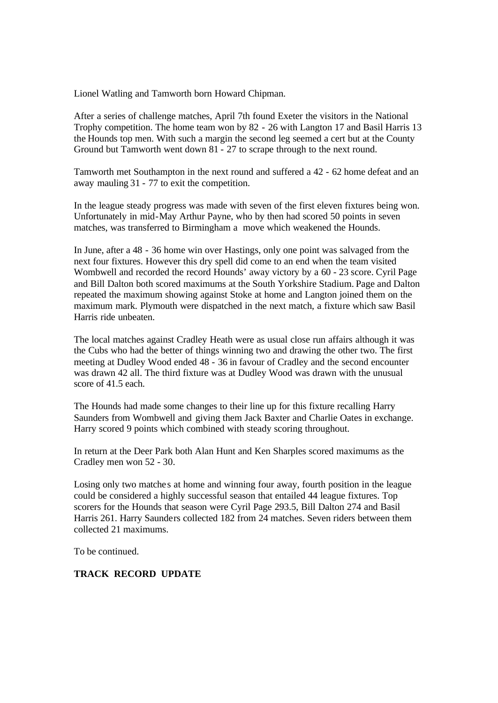Lionel Watling and Tamworth born Howard Chipman.

After a series of challenge matches, April 7th found Exeter the visitors in the National Trophy competition. The home team won by 82 - 26 with Langton 17 and Basil Harris 13 the Hounds top men. With such a margin the second leg seemed a cert but at the County Ground but Tamworth went down 81 - 27 to scrape through to the next round.

Tamworth met Southampton in the next round and suffered a 42 - 62 home defeat and an away mauling 31 - 77 to exit the competition.

In the league steady progress was made with seven of the first eleven fixtures being won. Unfortunately in mid-May Arthur Payne, who by then had scored 50 points in seven matches, was transferred to Birmingham a move which weakened the Hounds.

In June, after a 48 - 36 home win over Hastings, only one point was salvaged from the next four fixtures. However this dry spell did come to an end when the team visited Wombwell and recorded the record Hounds' away victory by a 60 - 23 score. Cyril Page and Bill Dalton both scored maximums at the South Yorkshire Stadium. Page and Dalton repeated the maximum showing against Stoke at home and Langton joined them on the maximum mark. Plymouth were dispatched in the next match, a fixture which saw Basil Harris ride unbeaten.

The local matches against Cradley Heath were as usual close run affairs although it was the Cubs who had the better of things winning two and drawing the other two. The first meeting at Dudley Wood ended 48 - 36 in favour of Cradley and the second encounter was drawn 42 all. The third fixture was at Dudley Wood was drawn with the unusual score of 41.5 each.

The Hounds had made some changes to their line up for this fixture recalling Harry Saunders from Wombwell and giving them Jack Baxter and Charlie Oates in exchange. Harry scored 9 points which combined with steady scoring throughout.

In return at the Deer Park both Alan Hunt and Ken Sharples scored maximums as the Cradley men won 52 - 30.

Losing only two matche s at home and winning four away, fourth position in the league could be considered a highly successful season that entailed 44 league fixtures. Top scorers for the Hounds that season were Cyril Page 293.5, Bill Dalton 274 and Basil Harris 261. Harry Saunders collected 182 from 24 matches. Seven riders between them collected 21 maximums.

To be continued.

# **TRACK RECORD UPDATE**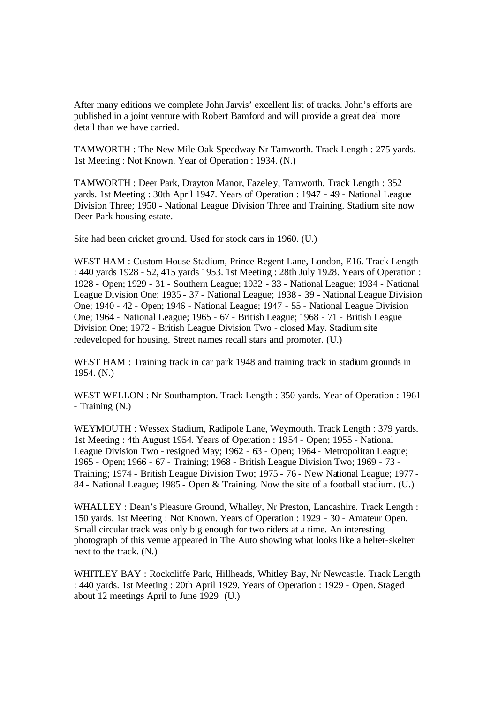After many editions we complete John Jarvis' excellent list of tracks. John's efforts are published in a joint venture with Robert Bamford and will provide a great deal more detail than we have carried.

TAMWORTH : The New Mile Oak Speedway Nr Tamworth. Track Length : 275 yards. 1st Meeting : Not Known. Year of Operation : 1934. (N.)

TAMWORTH : Deer Park, Drayton Manor, Fazeley, Tamworth. Track Length : 352 yards. 1st Meeting : 30th April 1947. Years of Operation : 1947 - 49 - National League Division Three; 1950 - National League Division Three and Training. Stadium site now Deer Park housing estate.

Site had been cricket ground. Used for stock cars in 1960. (U.)

WEST HAM : Custom House Stadium, Prince Regent Lane, London, E16. Track Length : 440 yards 1928 - 52, 415 yards 1953. 1st Meeting : 28th July 1928. Years of Operation : 1928 - Open; 1929 - 31 - Southern League; 1932 - 33 - National League; 1934 - National League Division One; 1935 - 37 - National League; 1938 - 39 - National League Division One; 1940 - 42 - Open; 1946 - National League; 1947 - 55 - National League Division One; 1964 - National League; 1965 - 67 - British League; 1968 - 71 - British League Division One; 1972 - British League Division Two - closed May. Stadium site redeveloped for housing. Street names recall stars and promoter. (U.)

WEST HAM : Training track in car park 1948 and training track in stadium grounds in 1954. (N.)

WEST WELLON : Nr Southampton. Track Length : 350 yards. Year of Operation : 1961 - Training (N.)

WEYMOUTH : Wessex Stadium, Radipole Lane, Weymouth. Track Length : 379 yards. 1st Meeting : 4th August 1954. Years of Operation : 1954 - Open; 1955 - National League Division Two - resigned May; 1962 - 63 - Open; 1964 - Metropolitan League; 1965 - Open; 1966 - 67 - Training; 1968 - British League Division Two; 1969 - 73 - Training; 1974 - British League Division Two; 1975 - 76 - New National League; 1977 - 84 - National League; 1985 - Open & Training. Now the site of a football stadium. (U.)

WHALLEY : Dean's Pleasure Ground, Whalley, Nr Preston, Lancashire. Track Length : 150 yards. 1st Meeting : Not Known. Years of Operation : 1929 - 30 - Amateur Open. Small circular track was only big enough for two riders at a time. An interesting photograph of this venue appeared in The Auto showing what looks like a helter-skelter next to the track. (N.)

WHITLEY BAY : Rockcliffe Park, Hillheads, Whitley Bay, Nr Newcastle. Track Length : 440 yards. 1st Meeting : 20th April 1929. Years of Operation : 1929 - Open. Staged about 12 meetings April to June 1929 (U.)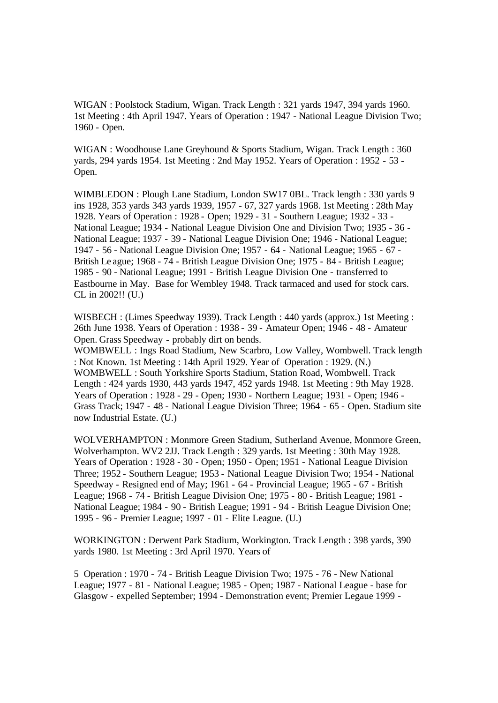WIGAN : Poolstock Stadium, Wigan. Track Length : 321 yards 1947, 394 yards 1960. 1st Meeting : 4th April 1947. Years of Operation : 1947 - National League Division Two; 1960 - Open.

WIGAN : Woodhouse Lane Greyhound & Sports Stadium, Wigan. Track Length : 360 yards, 294 yards 1954. 1st Meeting : 2nd May 1952. Years of Operation : 1952 - 53 - Open.

WIMBLEDON : Plough Lane Stadium, London SW17 0BL. Track length : 330 yards 9 ins 1928, 353 yards 343 yards 1939, 1957 - 67, 327 yards 1968. 1st Meeting : 28th May 1928. Years of Operation : 1928 - Open; 1929 - 31 - Southern League; 1932 - 33 - National League; 1934 - National League Division One and Division Two; 1935 - 36 - National League; 1937 - 39 - National League Division One; 1946 - National League; 1947 - 56 - National League Division One; 1957 - 64 - National League; 1965 - 67 - British Le ague; 1968 - 74 - British League Division One; 1975 - 84 - British League; 1985 - 90 - National League; 1991 - British League Division One - transferred to Eastbourne in May. Base for Wembley 1948. Track tarmaced and used for stock cars. CL in 2002!! (U.)

WISBECH : (Limes Speedway 1939). Track Length : 440 yards (approx.) 1st Meeting : 26th June 1938. Years of Operation : 1938 - 39 - Amateur Open; 1946 - 48 - Amateur Open. Grass Speedway - probably dirt on bends.

WOMBWELL : Ings Road Stadium, New Scarbro, Low Valley, Wombwell. Track length : Not Known. 1st Meeting : 14th April 1929. Year of Operation : 1929. (N.) WOMBWELL : South Yorkshire Sports Stadium, Station Road, Wombwell. Track Length : 424 yards 1930, 443 yards 1947, 452 yards 1948. 1st Meeting : 9th May 1928. Years of Operation : 1928 - 29 - Open; 1930 - Northern League; 1931 - Open; 1946 - Grass Track; 1947 - 48 - National League Division Three; 1964 - 65 - Open. Stadium site now Industrial Estate. (U.)

WOLVERHAMPTON : Monmore Green Stadium, Sutherland Avenue, Monmore Green, Wolverhampton. WV2 2JJ. Track Length : 329 yards. 1st Meeting : 30th May 1928. Years of Operation : 1928 - 30 - Open; 1950 - Open; 1951 - National League Division Three; 1952 - Southern League; 1953 - National League Division Two; 1954 - National Speedway - Resigned end of May; 1961 - 64 - Provincial League; 1965 - 67 - British League; 1968 - 74 - British League Division One; 1975 - 80 - British League; 1981 - National League; 1984 - 90 - British League; 1991 - 94 - British League Division One; 1995 - 96 - Premier League; 1997 - 01 - Elite League. (U.)

WORKINGTON : Derwent Park Stadium, Workington. Track Length : 398 yards, 390 yards 1980. 1st Meeting : 3rd April 1970. Years of

5 Operation : 1970 - 74 - British League Division Two; 1975 - 76 - New National League; 1977 - 81 - National League; 1985 - Open; 1987 - National League - base for Glasgow - expelled September; 1994 - Demonstration event; Premier Legaue 1999 -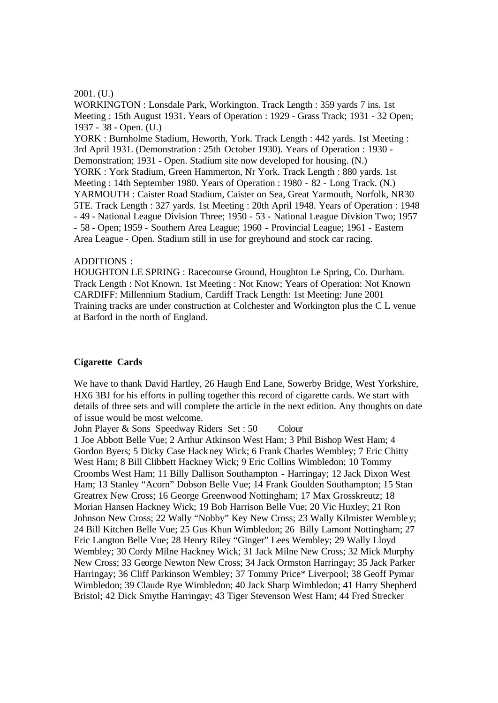#### 2001. (U.)

WORKINGTON : Lonsdale Park, Workington. Track Length : 359 yards 7 ins. 1st Meeting : 15th August 1931. Years of Operation : 1929 - Grass Track; 1931 - 32 Open; 1937 - 38 - Open. (U.) YORK : Burnholme Stadium, Heworth, York. Track Length : 442 yards. 1st Meeting : 3rd April 1931. (Demonstration : 25th October 1930). Years of Operation : 1930 - Demonstration; 1931 - Open. Stadium site now developed for housing. (N.) YORK : York Stadium, Green Hammerton, Nr York. Track Length : 880 yards. 1st Meeting : 14th September 1980. Years of Operation : 1980 - 82 - Long Track. (N.) YARMOUTH : Caister Road Stadium, Caister on Sea, Great Yarmouth, Norfolk, NR30 5TE. Track Length : 327 yards. 1st Meeting : 20th April 1948. Years of Operation : 1948 - 49 - National League Division Three; 1950 - 53 - National League Division Two; 1957 - 58 - Open; 1959 - Southern Area League; 1960 - Provincial League; 1961 - Eastern Area League - Open. Stadium still in use for greyhound and stock car racing.

#### ADDITIONS :

HOUGHTON LE SPRING : Racecourse Ground, Houghton Le Spring, Co. Durham. Track Length : Not Known. 1st Meeting : Not Know; Years of Operation: Not Known CARDIFF: Millennium Stadium, Cardiff Track Length: 1st Meeting: June 2001 Training tracks are under construction at Colchester and Workington plus the C L venue at Barford in the north of England.

#### **Cigarette Cards**

We have to thank David Hartley, 26 Haugh End Lane, Sowerby Bridge, West Yorkshire, HX6 3BJ for his efforts in pulling together this record of cigarette cards. We start with details of three sets and will complete the article in the next edition. Any thoughts on date of issue would be most welcome.

John Player & Sons Speedway Riders Set : 50 Colour

1 Joe Abbott Belle Vue; 2 Arthur Atkinson West Ham; 3 Phil Bishop West Ham; 4 Gordon Byers; 5 Dicky Case Hackney Wick; 6 Frank Charles Wembley; 7 Eric Chitty West Ham; 8 Bill Clibbett Hackney Wick; 9 Eric Collins Wimbledon; 10 Tommy Croombs West Ham; 11 Billy Dallison Southampton - Harringay; 12 Jack Dixon West Ham; 13 Stanley "Acorn" Dobson Belle Vue; 14 Frank Goulden Southampton; 15 Stan Greatrex New Cross; 16 George Greenwood Nottingham; 17 Max Grosskreutz; 18 Morian Hansen Hackney Wick; 19 Bob Harrison Belle Vue; 20 Vic Huxley; 21 Ron Johnson New Cross; 22 Wally "Nobby" Key New Cross; 23 Wally Kilmister Wembley; 24 Bill Kitchen Belle Vue; 25 Gus Khun Wimbledon; 26 Billy Lamont Nottingham; 27 Eric Langton Belle Vue; 28 Henry Riley "Ginger" Lees Wembley; 29 Wally Lloyd Wembley; 30 Cordy Milne Hackney Wick; 31 Jack Milne New Cross; 32 Mick Murphy New Cross; 33 George Newton New Cross; 34 Jack Ormston Harringay; 35 Jack Parker Harringay; 36 Cliff Parkinson Wembley; 37 Tommy Price\* Liverpool; 38 Geoff Pymar Wimbledon; 39 Claude Rye Wimbledon; 40 Jack Sharp Wimbledon; 41 Harry Shepherd Bristol; 42 Dick Smythe Harringay; 43 Tiger Stevenson West Ham; 44 Fred Strecker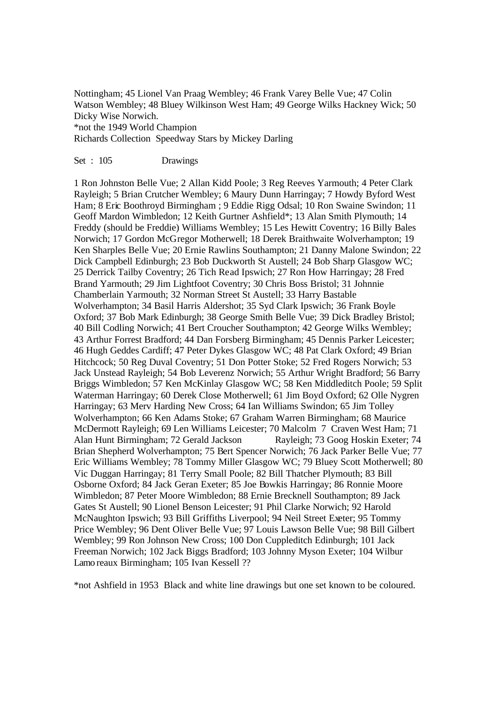Nottingham; 45 Lionel Van Praag Wembley; 46 Frank Varey Belle Vue; 47 Colin Watson Wembley; 48 Bluey Wilkinson West Ham; 49 George Wilks Hackney Wick; 50 Dicky Wise Norwich. \*not the 1949 World Champion

Richards Collection Speedway Stars by Mickey Darling

# Set : 105 Drawings

1 Ron Johnston Belle Vue; 2 Allan Kidd Poole; 3 Reg Reeves Yarmouth; 4 Peter Clark Rayleigh; 5 Brian Crutcher Wembley; 6 Maury Dunn Harringay; 7 Howdy Byford West Ham; 8 Eric Boothroyd Birmingham ; 9 Eddie Rigg Odsal; 10 Ron Swaine Swindon; 11 Geoff Mardon Wimbledon; 12 Keith Gurtner Ashfield\*; 13 Alan Smith Plymouth; 14 Freddy (should be Freddie) Williams Wembley; 15 Les Hewitt Coventry; 16 Billy Bales Norwich; 17 Gordon McGregor Motherwell; 18 Derek Braithwaite Wolverhampton; 19 Ken Sharples Belle Vue; 20 Ernie Rawlins Southampton; 21 Danny Malone Swindon; 22 Dick Campbell Edinburgh; 23 Bob Duckworth St Austell; 24 Bob Sharp Glasgow WC; 25 Derrick Tailby Coventry; 26 Tich Read Ipswich; 27 Ron How Harringay; 28 Fred Brand Yarmouth; 29 Jim Lightfoot Coventry; 30 Chris Boss Bristol; 31 Johnnie Chamberlain Yarmouth; 32 Norman Street St Austell; 33 Harry Bastable Wolverhampton; 34 Basil Harris Aldershot; 35 Syd Clark Ipswich; 36 Frank Boyle Oxford; 37 Bob Mark Edinburgh; 38 George Smith Belle Vue; 39 Dick Bradley Bristol; 40 Bill Codling Norwich; 41 Bert Croucher Southampton; 42 George Wilks Wembley; 43 Arthur Forrest Bradford; 44 Dan Forsberg Birmingham; 45 Dennis Parker Leicester; 46 Hugh Geddes Cardiff; 47 Peter Dykes Glasgow WC; 48 Pat Clark Oxford; 49 Brian Hitchcock; 50 Reg Duval Coventry; 51 Don Potter Stoke; 52 Fred Rogers Norwich; 53 Jack Unstead Rayleigh; 54 Bob Leverenz Norwich; 55 Arthur Wright Bradford; 56 Barry Briggs Wimbledon; 57 Ken McKinlay Glasgow WC; 58 Ken Middleditch Poole; 59 Split Waterman Harringay; 60 Derek Close Motherwell; 61 Jim Boyd Oxford; 62 Olle Nygren Harringay; 63 Merv Harding New Cross; 64 Ian Williams Swindon; 65 Jim Tolley Wolverhampton; 66 Ken Adams Stoke; 67 Graham Warren Birmingham; 68 Maurice McDermott Rayleigh; 69 Len Williams Leicester; 70 Malcolm 7 Craven West Ham; 71 Alan Hunt Birmingham; 72 Gerald Jackson Rayleigh; 73 Goog Hoskin Exeter; 74 Brian Shepherd Wolverhampton; 75 Bert Spencer Norwich; 76 Jack Parker Belle Vue; 77 Eric Williams Wembley; 78 Tommy Miller Glasgow WC; 79 Bluey Scott Motherwell; 80 Vic Duggan Harringay; 81 Terry Small Poole; 82 Bill Thatcher Plymouth; 83 Bill Osborne Oxford; 84 Jack Geran Exeter; 85 Joe Bowkis Harringay; 86 Ronnie Moore Wimbledon; 87 Peter Moore Wimbledon; 88 Ernie Brecknell Southampton; 89 Jack Gates St Austell; 90 Lionel Benson Leicester; 91 Phil Clarke Norwich; 92 Harold McNaughton Ipswich; 93 Bill Griffiths Liverpool; 94 Neil Street Exeter; 95 Tommy Price Wembley; 96 Dent Oliver Belle Vue; 97 Louis Lawson Belle Vue; 98 Bill Gilbert Wembley; 99 Ron Johnson New Cross; 100 Don Cuppleditch Edinburgh; 101 Jack Freeman Norwich; 102 Jack Biggs Bradford; 103 Johnny Myson Exeter; 104 Wilbur Lamo reaux Birmingham; 105 Ivan Kessell ??

\*not Ashfield in 1953 Black and white line drawings but one set known to be coloured.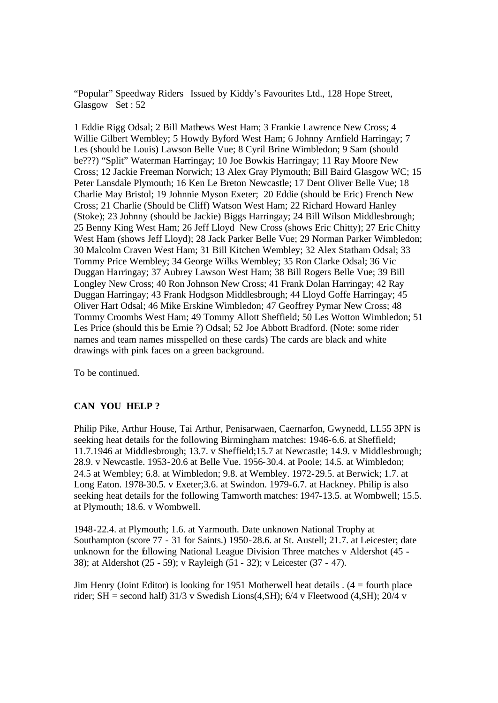"Popular" Speedway Riders Issued by Kiddy's Favourites Ltd., 128 Hope Street, Glasgow Set : 52

1 Eddie Rigg Odsal; 2 Bill Mathews West Ham; 3 Frankie Lawrence New Cross; 4 Willie Gilbert Wembley; 5 Howdy Byford West Ham; 6 Johnny Arnfield Harringay; 7 Les (should be Louis) Lawson Belle Vue; 8 Cyril Brine Wimbledon; 9 Sam (should be???) "Split" Waterman Harringay; 10 Joe Bowkis Harringay; 11 Ray Moore New Cross; 12 Jackie Freeman Norwich; 13 Alex Gray Plymouth; Bill Baird Glasgow WC; 15 Peter Lansdale Plymouth; 16 Ken Le Breton Newcastle; 17 Dent Oliver Belle Vue; 18 Charlie May Bristol; 19 Johnnie Myson Exeter; 20 Eddie (should be Eric) French New Cross; 21 Charlie (Should be Cliff) Watson West Ham; 22 Richard Howard Hanley (Stoke); 23 Johnny (should be Jackie) Biggs Harringay; 24 Bill Wilson Middlesbrough; 25 Benny King West Ham; 26 Jeff Lloyd New Cross (shows Eric Chitty); 27 Eric Chitty West Ham (shows Jeff Lloyd); 28 Jack Parker Belle Vue; 29 Norman Parker Wimbledon; 30 Malcolm Craven West Ham; 31 Bill Kitchen Wembley; 32 Alex Statham Odsal; 33 Tommy Price Wembley; 34 George Wilks Wembley; 35 Ron Clarke Odsal; 36 Vic Duggan Harringay; 37 Aubrey Lawson West Ham; 38 Bill Rogers Belle Vue; 39 Bill Longley New Cross; 40 Ron Johnson New Cross; 41 Frank Dolan Harringay; 42 Ray Duggan Harringay; 43 Frank Hodgson Middlesbrough; 44 Lloyd Goffe Harringay; 45 Oliver Hart Odsal; 46 Mike Erskine Wimbledon; 47 Geoffrey Pymar New Cross; 48 Tommy Croombs West Ham; 49 Tommy Allott Sheffield; 50 Les Wotton Wimbledon; 51 Les Price (should this be Ernie ?) Odsal; 52 Joe Abbott Bradford. (Note: some rider names and team names misspelled on these cards) The cards are black and white drawings with pink faces on a green background.

To be continued.

# **CAN YOU HELP ?**

Philip Pike, Arthur House, Tai Arthur, Penisarwaen, Caernarfon, Gwynedd, LL55 3PN is seeking heat details for the following Birmingham matches: 1946-6.6. at Sheffield; 11.7.1946 at Middlesbrough; 13.7. v Sheffield;15.7 at Newcastle; 14.9. v Middlesbrough; 28.9. v Newcastle. 1953-20.6 at Belle Vue. 1956-30.4. at Poole; 14.5. at Wimbledon; 24.5 at Wembley; 6.8. at Wimbledon; 9.8. at Wembley. 1972-29.5. at Berwick; 1.7. at Long Eaton. 1978-30.5. v Exeter;3.6. at Swindon. 1979-6.7. at Hackney. Philip is also seeking heat details for the following Tamworth matches: 1947-13.5. at Wombwell; 15.5. at Plymouth; 18.6. v Wombwell.

1948-22.4. at Plymouth; 1.6. at Yarmouth. Date unknown National Trophy at Southampton (score 77 - 31 for Saints.) 1950-28.6. at St. Austell; 21.7. at Leicester; date unknown for the following National League Division Three matches v Aldershot (45 - 38); at Aldershot (25 - 59); v Rayleigh (51 - 32); v Leicester (37 - 47).

Jim Henry (Joint Editor) is looking for 1951 Motherwell heat details . (4 = fourth place rider; SH = second half)  $31/3$  v Swedish Lions(4, SH); 6/4 v Fleetwood (4, SH); 20/4 v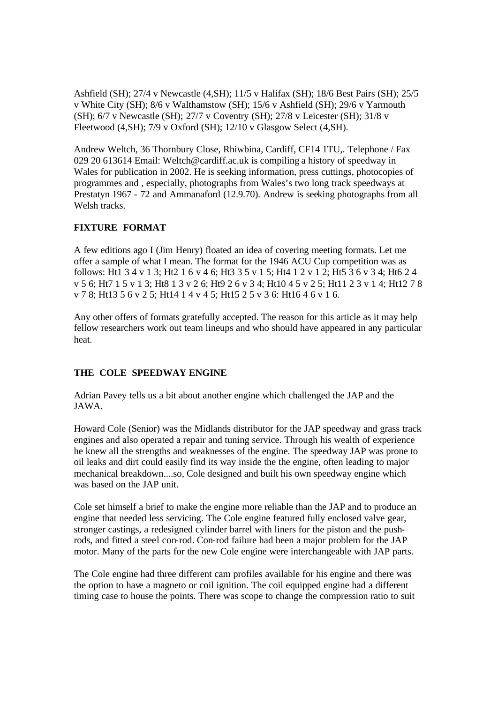Ashfield (SH); 27/4 v Newcastle (4,SH); 11/5 v Halifax (SH); 18/6 Best Pairs (SH); 25/5 v White City (SH); 8/6 v Walthamstow (SH); 15/6 v Ashfield (SH); 29/6 v Yarmouth (SH); 6/7 v Newcastle (SH); 27/7 v Coventry (SH); 27/8 v Leicester (SH); 31/8 v Fleetwood (4,SH); 7/9 v Oxford (SH); 12/10 v Glasgow Select (4,SH).

Andrew Weltch, 36 Thornbury Close, Rhiwbina, Cardiff, CF14 1TU,. Telephone / Fax 029 20 613614 Email: Weltch@cardiff.ac.uk is compiling a history of speedway in Wales for publication in 2002. He is seeking information, press cuttings, photocopies of programmes and , especially, photographs from Wales's two long track speedways at Prestatyn 1967 - 72 and Ammanaford (12.9.70). Andrew is seeking photographs from all Welsh tracks.

# **FIXTURE FORMAT**

A few editions ago I (Jim Henry) floated an idea of covering meeting formats. Let me offer a sample of what I mean. The format for the 1946 ACU Cup competition was as follows: Ht1 3 4 v 1 3; Ht2 1 6 v 4 6; Ht3 3 5 v 1 5; Ht4 1 2 v 1 2; Ht5 3 6 v 3 4; Ht6 2 4 v 5 6; Ht7 1 5 v 1 3; Ht8 1 3 v 2 6; Ht9 2 6 v 3 4; Ht10 4 5 v 2 5; Ht11 2 3 v 1 4; Ht12 7 8 v 7 8; Ht13 5 6 v 2 5; Ht14 1 4 v 4 5; Ht15 2 5 v 3 6: Ht16 4 6 v 1 6.

Any other offers of formats gratefully accepted. The reason for this article as it may help fellow researchers work out team lineups and who should have appeared in any particular heat.

# **THE COLE SPEEDWAY ENGINE**

Adrian Pavey tells us a bit about another engine which challenged the JAP and the JAWA.

Howard Cole (Senior) was the Midlands distributor for the JAP speedway and grass track engines and also operated a repair and tuning service. Through his wealth of experience he knew all the strengths and weaknesses of the engine. The speedway JAP was prone to oil leaks and dirt could easily find its way inside the the engine, often leading to major mechanical breakdown....so, Cole designed and built his own speedway engine which was based on the JAP unit.

Cole set himself a brief to make the engine more reliable than the JAP and to produce an engine that needed less servicing. The Cole engine featured fully enclosed valve gear, stronger castings, a redesigned cylinder barrel with liners for the piston and the pushrods, and fitted a steel con-rod. Con-rod failure had been a major problem for the JAP motor. Many of the parts for the new Cole engine were interchangeable with JAP parts.

The Cole engine had three different cam profiles available for his engine and there was the option to have a magneto or coil ignition. The coil equipped engine had a different timing case to house the points. There was scope to change the compression ratio to suit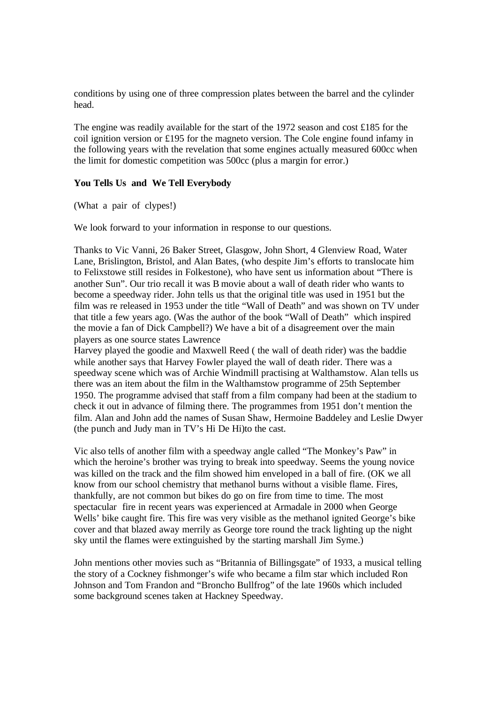conditions by using one of three compression plates between the barrel and the cylinder head.

The engine was readily available for the start of the 1972 season and cost £185 for the coil ignition version or £195 for the magneto version. The Cole engine found infamy in the following years with the revelation that some engines actually measured 600cc when the limit for domestic competition was 500cc (plus a margin for error.)

## **You Tells Us and We Tell Everybody**

(What a pair of clypes!)

We look forward to your information in response to our questions.

Thanks to Vic Vanni, 26 Baker Street, Glasgow, John Short, 4 Glenview Road, Water Lane, Brislington, Bristol, and Alan Bates, (who despite Jim's efforts to translocate him to Felixstowe still resides in Folkestone), who have sent us information about "There is another Sun". Our trio recall it was B movie about a wall of death rider who wants to become a speedway rider. John tells us that the original title was used in 1951 but the film was re released in 1953 under the title "Wall of Death" and was shown on TV under that title a few years ago. (Was the author of the book "Wall of Death" which inspired the movie a fan of Dick Campbell?) We have a bit of a disagreement over the main players as one source states Lawrence

Harvey played the goodie and Maxwell Reed ( the wall of death rider) was the baddie while another says that Harvey Fowler played the wall of death rider. There was a speedway scene which was of Archie Windmill practising at Walthamstow. Alan tells us there was an item about the film in the Walthamstow programme of 25th September 1950. The programme advised that staff from a film company had been at the stadium to check it out in advance of filming there. The programmes from 1951 don't mention the film. Alan and John add the names of Susan Shaw, Hermoine Baddeley and Leslie Dwyer (the punch and Judy man in TV's Hi De Hi)to the cast.

Vic also tells of another film with a speedway angle called "The Monkey's Paw" in which the heroine's brother was trying to break into speedway. Seems the young novice was killed on the track and the film showed him enveloped in a ball of fire. (OK we all know from our school chemistry that methanol burns without a visible flame. Fires, thankfully, are not common but bikes do go on fire from time to time. The most spectacular fire in recent years was experienced at Armadale in 2000 when George Wells' bike caught fire. This fire was very visible as the methanol ignited George's bike cover and that blazed away merrily as George tore round the track lighting up the night sky until the flames were extinguished by the starting marshall Jim Syme.)

John mentions other movies such as "Britannia of Billingsgate" of 1933, a musical telling the story of a Cockney fishmonger's wife who became a film star which included Ron Johnson and Tom Frandon and "Broncho Bullfrog" of the late 1960s which included some background scenes taken at Hackney Speedway.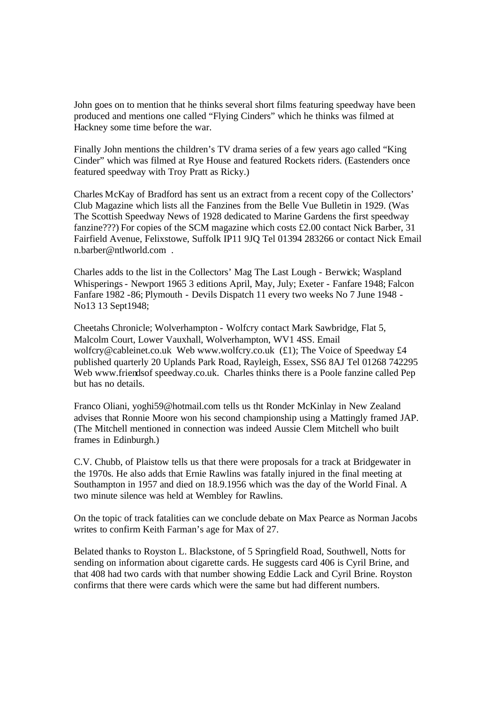John goes on to mention that he thinks several short films featuring speedway have been produced and mentions one called "Flying Cinders" which he thinks was filmed at Hackney some time before the war.

Finally John mentions the children's TV drama series of a few years ago called "King Cinder" which was filmed at Rye House and featured Rockets riders. (Eastenders once featured speedway with Troy Pratt as Ricky.)

Charles McKay of Bradford has sent us an extract from a recent copy of the Collectors' Club Magazine which lists all the Fanzines from the Belle Vue Bulletin in 1929. (Was The Scottish Speedway News of 1928 dedicated to Marine Gardens the first speedway fanzine???) For copies of the SCM magazine which costs £2.00 contact Nick Barber, 31 Fairfield Avenue, Felixstowe, Suffolk IP11 9JQ Tel 01394 283266 or contact Nick Email n.barber@ntlworld.com .

Charles adds to the list in the Collectors' Mag The Last Lough - Berwick; Waspland Whisperings - Newport 1965 3 editions April, May, July; Exeter - Fanfare 1948; Falcon Fanfare 1982 -86; Plymouth - Devils Dispatch 11 every two weeks No 7 June 1948 - No13 13 Sept1948;

Cheetahs Chronicle; Wolverhampton - Wolfcry contact Mark Sawbridge, Flat 5, Malcolm Court, Lower Vauxhall, Wolverhampton, WV1 4SS. Email wolfcry@cableinet.co.uk Web www.wolfcry.co.uk (£1); The Voice of Speedway £4 published quarterly 20 Uplands Park Road, Rayleigh, Essex, SS6 8AJ Tel 01268 742295 Web www.friendsof speedway.co.uk. Charles thinks there is a Poole fanzine called Pep but has no details.

Franco Oliani, yoghi59@hotmail.com tells us tht Ronder McKinlay in New Zealand advises that Ronnie Moore won his second championship using a Mattingly framed JAP. (The Mitchell mentioned in connection was indeed Aussie Clem Mitchell who built frames in Edinburgh.)

C.V. Chubb, of Plaistow tells us that there were proposals for a track at Bridgewater in the 1970s. He also adds that Ernie Rawlins was fatally injured in the final meeting at Southampton in 1957 and died on 18.9.1956 which was the day of the World Final. A two minute silence was held at Wembley for Rawlins.

On the topic of track fatalities can we conclude debate on Max Pearce as Norman Jacobs writes to confirm Keith Farman's age for Max of 27.

Belated thanks to Royston L. Blackstone, of 5 Springfield Road, Southwell, Notts for sending on information about cigarette cards. He suggests card 406 is Cyril Brine, and that 408 had two cards with that number showing Eddie Lack and Cyril Brine. Royston confirms that there were cards which were the same but had different numbers.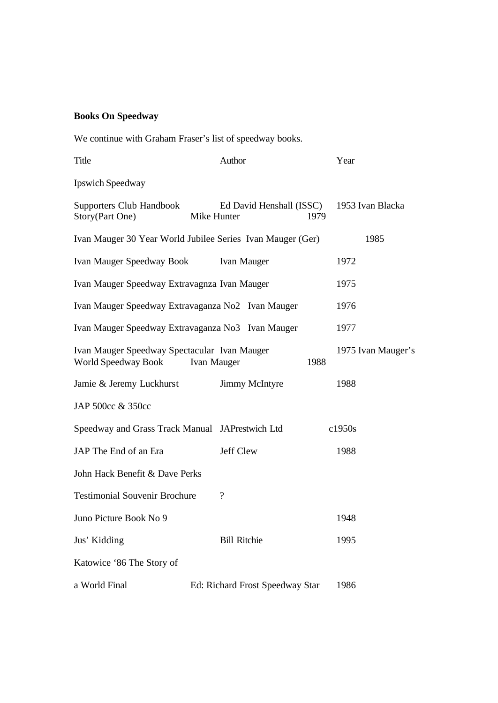# **Books On Speedway**

We continue with Graham Fraser's list of speedway books.

| Title                                                               | Author                                                     | Year                     |
|---------------------------------------------------------------------|------------------------------------------------------------|--------------------------|
| Ipswich Speedway                                                    |                                                            |                          |
| Supporters Club Handbook<br>Story(Part One)                         | Ed David Henshall (ISSC)<br>Mike Hunter                    | 1953 Ivan Blacka<br>1979 |
|                                                                     | Ivan Mauger 30 Year World Jubilee Series Ivan Mauger (Ger) | 1985                     |
| Ivan Mauger Speedway Book                                           | 1972                                                       |                          |
| Ivan Mauger Speedway Extravagnza Ivan Mauger                        | 1975                                                       |                          |
| Ivan Mauger Speedway Extravaganza No2 Ivan Mauger                   | 1976                                                       |                          |
| Ivan Mauger Speedway Extravaganza No3 Ivan Mauger                   | 1977                                                       |                          |
| Ivan Mauger Speedway Spectacular Ivan Mauger<br>World Speedway Book | 1975 Ivan Mauger's<br>1988                                 |                          |
| Jamie & Jeremy Luckhurst                                            | Jimmy McIntyre                                             | 1988                     |
| JAP 500cc & 350cc                                                   |                                                            |                          |
| Speedway and Grass Track Manual JAPrestwich Ltd                     |                                                            | c1950s                   |
| JAP The End of an Era                                               | <b>Jeff Clew</b>                                           | 1988                     |
| John Hack Benefit & Dave Perks                                      |                                                            |                          |
| <b>Testimonial Souvenir Brochure</b>                                | $\gamma$                                                   |                          |
| Juno Picture Book No 9                                              |                                                            | 1948                     |
| Jus' Kidding                                                        | <b>Bill Ritchie</b>                                        | 1995                     |
| Katowice '86 The Story of                                           |                                                            |                          |
| a World Final                                                       | Ed: Richard Frost Speedway Star                            | 1986                     |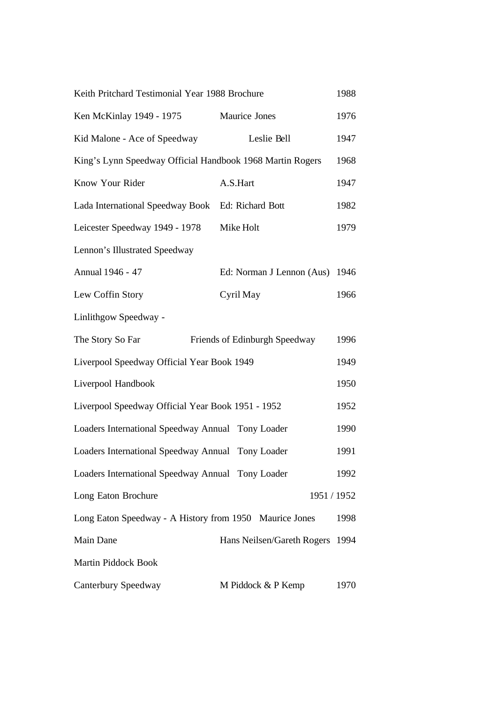| Keith Pritchard Testimonial Year 1988 Brochure            |                                | 1988 |
|-----------------------------------------------------------|--------------------------------|------|
| Ken McKinlay 1949 - 1975                                  | <b>Maurice Jones</b>           | 1976 |
| Kid Malone - Ace of Speedway                              | Leslie Bell                    | 1947 |
| King's Lynn Speedway Official Handbook 1968 Martin Rogers |                                | 1968 |
| Know Your Rider                                           | A.S.Hart                       | 1947 |
| Lada International Speedway Book Ed: Richard Bott         |                                | 1982 |
| Leicester Speedway 1949 - 1978                            | Mike Holt                      | 1979 |
| Lennon's Illustrated Speedway                             |                                |      |
| Annual 1946 - 47                                          | Ed: Norman J Lennon (Aus) 1946 |      |
| Lew Coffin Story                                          | Cyril May                      | 1966 |
| Linlithgow Speedway -                                     |                                |      |
| The Story So Far                                          | Friends of Edinburgh Speedway  | 1996 |
| Liverpool Speedway Official Year Book 1949                |                                | 1949 |
| Liverpool Handbook                                        |                                | 1950 |
| Liverpool Speedway Official Year Book 1951 - 1952         |                                | 1952 |
| Loaders International Speedway Annual Tony Loader         |                                | 1990 |
| Loaders International Speedway Annual Tony Loader         |                                | 1991 |
| Loaders International Speedway Annual Tony Loader         |                                | 1992 |
| Long Eaton Brochure                                       | 1951 / 1952                    |      |
| Long Eaton Speedway - A History from 1950 Maurice Jones   |                                | 1998 |
| Main Dane                                                 | Hans Neilsen/Gareth Rogers     | 1994 |
| Martin Piddock Book                                       |                                |      |
| Canterbury Speedway                                       | M Piddock & P Kemp             | 1970 |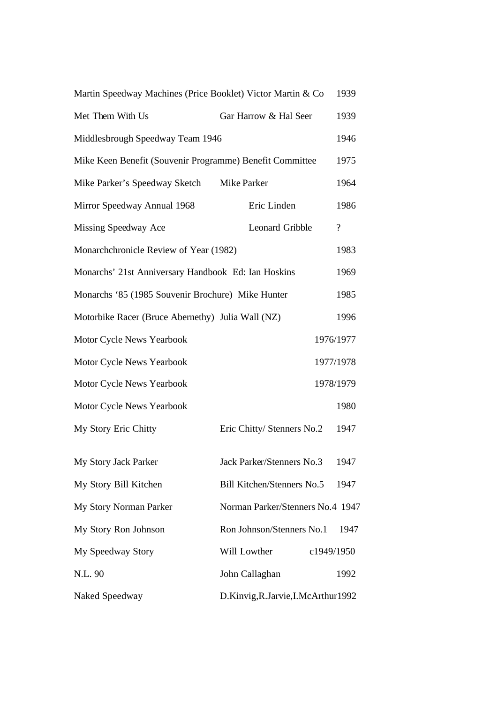| Martin Speedway Machines (Price Booklet) Victor Martin & Co |                                    | 1939               |  |  |  |  |  |
|-------------------------------------------------------------|------------------------------------|--------------------|--|--|--|--|--|
| Met Them With Us                                            | Gar Harrow & Hal Seer              | 1939               |  |  |  |  |  |
| Middlesbrough Speedway Team 1946                            |                                    |                    |  |  |  |  |  |
| Mike Keen Benefit (Souvenir Programme) Benefit Committee    |                                    |                    |  |  |  |  |  |
| Mike Parker's Speedway Sketch                               | Mike Parker                        | 1964               |  |  |  |  |  |
| Mirror Speedway Annual 1968                                 | Eric Linden                        | 1986               |  |  |  |  |  |
| Missing Speedway Ace                                        | <b>Leonard Gribble</b>             | $\overline{\cdot}$ |  |  |  |  |  |
| Monarchchronicle Review of Year (1982)                      |                                    | 1983               |  |  |  |  |  |
| Monarchs' 21st Anniversary Handbook Ed: Ian Hoskins         |                                    | 1969               |  |  |  |  |  |
| Monarchs '85 (1985 Souvenir Brochure) Mike Hunter           |                                    | 1985               |  |  |  |  |  |
| Motorbike Racer (Bruce Abernethy) Julia Wall (NZ)           |                                    |                    |  |  |  |  |  |
| Motor Cycle News Yearbook<br>1976/1977                      |                                    |                    |  |  |  |  |  |
| Motor Cycle News Yearbook<br>1977/1978                      |                                    |                    |  |  |  |  |  |
| Motor Cycle News Yearbook<br>1978/1979                      |                                    |                    |  |  |  |  |  |
| Motor Cycle News Yearbook                                   |                                    | 1980               |  |  |  |  |  |
| My Story Eric Chitty                                        | Eric Chitty/ Stenners No.2         | 1947               |  |  |  |  |  |
| My Story Jack Parker                                        | Jack Parker/Stenners No.3          | 1947               |  |  |  |  |  |
| Bill Kitchen/Stenners No.5<br>My Story Bill Kitchen         |                                    |                    |  |  |  |  |  |
| My Story Norman Parker                                      | Norman Parker/Stenners No.4 1947   |                    |  |  |  |  |  |
| My Story Ron Johnson                                        | Ron Johnson/Stenners No.1          | 1947               |  |  |  |  |  |
| My Speedway Story                                           | Will Lowther                       | c1949/1950         |  |  |  |  |  |
| N.L. 90                                                     | John Callaghan                     | 1992               |  |  |  |  |  |
| Naked Speedway                                              | D.Kinvig, R.Jarvie, I.McArthur1992 |                    |  |  |  |  |  |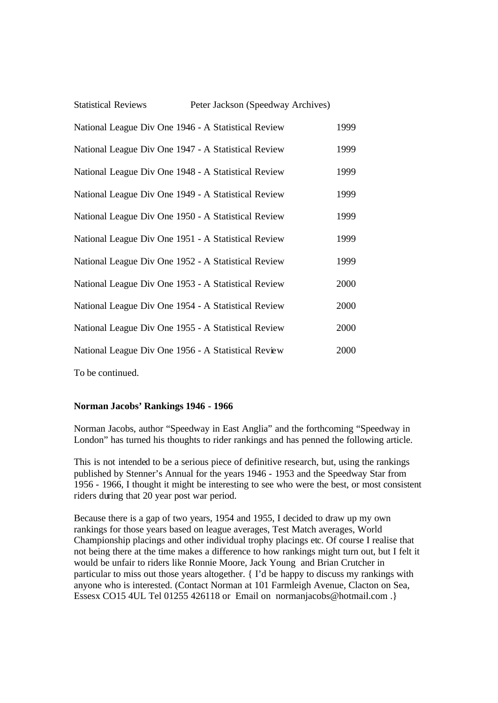| <b>Statistical Reviews</b>                          | Peter Jackson (Speedway Archives) |      |
|-----------------------------------------------------|-----------------------------------|------|
| National League Div One 1946 - A Statistical Review |                                   | 1999 |
| National League Div One 1947 - A Statistical Review |                                   | 1999 |
| National League Div One 1948 - A Statistical Review |                                   | 1999 |
| National League Div One 1949 - A Statistical Review |                                   | 1999 |
| National League Div One 1950 - A Statistical Review |                                   | 1999 |
| National League Div One 1951 - A Statistical Review |                                   | 1999 |
| National League Div One 1952 - A Statistical Review |                                   | 1999 |
| National League Div One 1953 - A Statistical Review |                                   | 2000 |
| National League Div One 1954 - A Statistical Review |                                   | 2000 |
| National League Div One 1955 - A Statistical Review |                                   | 2000 |
| National League Div One 1956 - A Statistical Review |                                   | 2000 |

To be continued.

## **Norman Jacobs' Rankings 1946 - 1966**

Norman Jacobs, author "Speedway in East Anglia" and the forthcoming "Speedway in London" has turned his thoughts to rider rankings and has penned the following article.

This is not intended to be a serious piece of definitive research, but, using the rankings published by Stenner's Annual for the years 1946 - 1953 and the Speedway Star from 1956 - 1966, I thought it might be interesting to see who were the best, or most consistent riders during that 20 year post war period.

Because there is a gap of two years, 1954 and 1955, I decided to draw up my own rankings for those years based on league averages, Test Match averages, World Championship placings and other individual trophy placings etc. Of course I realise that not being there at the time makes a difference to how rankings might turn out, but I felt it would be unfair to riders like Ronnie Moore, Jack Young and Brian Crutcher in particular to miss out those years altogether. { I'd be happy to discuss my rankings with anyone who is interested. (Contact Norman at 101 Farmleigh Avenue, Clacton on Sea, Essesx CO15 4UL Tel 01255 426118 or Email on normanjacobs@hotmail.com .}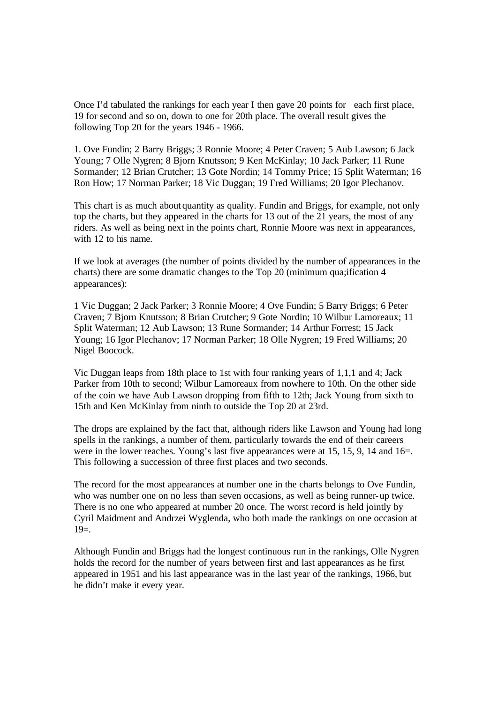Once I'd tabulated the rankings for each year I then gave 20 points for each first place, 19 for second and so on, down to one for 20th place. The overall result gives the following Top 20 for the years 1946 - 1966.

1. Ove Fundin; 2 Barry Briggs; 3 Ronnie Moore; 4 Peter Craven; 5 Aub Lawson; 6 Jack Young; 7 Olle Nygren; 8 Bjorn Knutsson; 9 Ken McKinlay; 10 Jack Parker; 11 Rune Sormander; 12 Brian Crutcher; 13 Gote Nordin; 14 Tommy Price; 15 Split Waterman; 16 Ron How; 17 Norman Parker; 18 Vic Duggan; 19 Fred Williams; 20 Igor Plechanov.

This chart is as much aboutquantity as quality. Fundin and Briggs, for example, not only top the charts, but they appeared in the charts for 13 out of the 21 years, the most of any riders. As well as being next in the points chart, Ronnie Moore was next in appearances, with 12 to his name.

If we look at averages (the number of points divided by the number of appearances in the charts) there are some dramatic changes to the Top 20 (minimum qua;ification 4 appearances):

1 Vic Duggan; 2 Jack Parker; 3 Ronnie Moore; 4 Ove Fundin; 5 Barry Briggs; 6 Peter Craven; 7 Bjorn Knutsson; 8 Brian Crutcher; 9 Gote Nordin; 10 Wilbur Lamoreaux; 11 Split Waterman; 12 Aub Lawson; 13 Rune Sormander; 14 Arthur Forrest; 15 Jack Young; 16 Igor Plechanov; 17 Norman Parker; 18 Olle Nygren; 19 Fred Williams; 20 Nigel Boocock.

Vic Duggan leaps from 18th place to 1st with four ranking years of 1,1,1 and 4; Jack Parker from 10th to second; Wilbur Lamoreaux from nowhere to 10th. On the other side of the coin we have Aub Lawson dropping from fifth to 12th; Jack Young from sixth to 15th and Ken McKinlay from ninth to outside the Top 20 at 23rd.

The drops are explained by the fact that, although riders like Lawson and Young had long spells in the rankings, a number of them, particularly towards the end of their careers were in the lower reaches. Young's last five appearances were at 15, 15, 9, 14 and 16=. This following a succession of three first places and two seconds.

The record for the most appearances at number one in the charts belongs to Ove Fundin, who was number one on no less than seven occasions, as well as being runner-up twice. There is no one who appeared at number 20 once. The worst record is held jointly by Cyril Maidment and Andrzei Wyglenda, who both made the rankings on one occasion at  $19=$ .

Although Fundin and Briggs had the longest continuous run in the rankings, Olle Nygren holds the record for the number of years between first and last appearances as he first appeared in 1951 and his last appearance was in the last year of the rankings, 1966, but he didn't make it every year.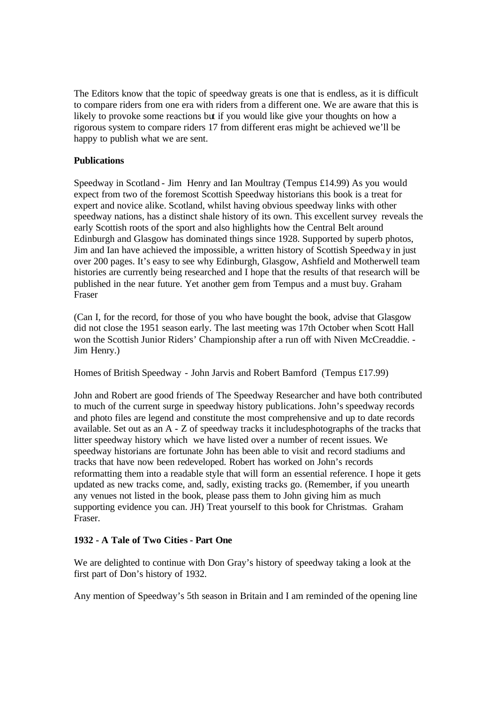The Editors know that the topic of speedway greats is one that is endless, as it is difficult to compare riders from one era with riders from a different one. We are aware that this is likely to provoke some reactions but if you would like give your thoughts on how a rigorous system to compare riders 17 from different eras might be achieved we'll be happy to publish what we are sent.

# **Publications**

Speedway in Scotland - Jim Henry and Ian Moultray (Tempus £14.99) As you would expect from two of the foremost Scottish Speedway historians this book is a treat for expert and novice alike. Scotland, whilst having obvious speedway links with other speedway nations, has a distinct shale history of its own. This excellent survey reveals the early Scottish roots of the sport and also highlights how the Central Belt around Edinburgh and Glasgow has dominated things since 1928. Supported by superb photos, Jim and Ian have achieved the impossible, a written history of Scottish Speedway in just over 200 pages. It's easy to see why Edinburgh, Glasgow, Ashfield and Motherwell team histories are currently being researched and I hope that the results of that research will be published in the near future. Yet another gem from Tempus and a must buy. Graham Fraser

(Can I, for the record, for those of you who have bought the book, advise that Glasgow did not close the 1951 season early. The last meeting was 17th October when Scott Hall won the Scottish Junior Riders' Championship after a run off with Niven McCreaddie. - Jim Henry.)

Homes of British Speedway - John Jarvis and Robert Bamford (Tempus £17.99)

John and Robert are good friends of The Speedway Researcher and have both contributed to much of the current surge in speedway history publications. John's speedway records and photo files are legend and constitute the most comprehensive and up to date records available. Set out as an A - Z of speedway tracks it includesphotographs of the tracks that litter speedway history which we have listed over a number of recent issues. We speedway historians are fortunate John has been able to visit and record stadiums and tracks that have now been redeveloped. Robert has worked on John's records reformatting them into a readable style that will form an essential reference. I hope it gets updated as new tracks come, and, sadly, existing tracks go. (Remember, if you unearth any venues not listed in the book, please pass them to John giving him as much supporting evidence you can. JH) Treat yourself to this book for Christmas. Graham Fraser.

# **1932 - A Tale of Two Cities - Part One**

We are delighted to continue with Don Gray's history of speedway taking a look at the first part of Don's history of 1932.

Any mention of Speedway's 5th season in Britain and I am reminded of the opening line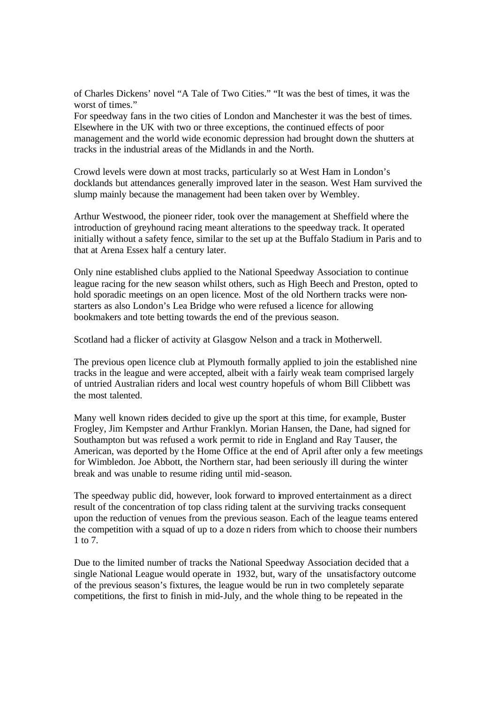of Charles Dickens' novel "A Tale of Two Cities." "It was the best of times, it was the worst of times."

For speedway fans in the two cities of London and Manchester it was the best of times. Elsewhere in the UK with two or three exceptions, the continued effects of poor management and the world wide economic depression had brought down the shutters at tracks in the industrial areas of the Midlands in and the North.

Crowd levels were down at most tracks, particularly so at West Ham in London's docklands but attendances generally improved later in the season. West Ham survived the slump mainly because the management had been taken over by Wembley.

Arthur Westwood, the pioneer rider, took over the management at Sheffield where the introduction of greyhound racing meant alterations to the speedway track. It operated initially without a safety fence, similar to the set up at the Buffalo Stadium in Paris and to that at Arena Essex half a century later.

Only nine established clubs applied to the National Speedway Association to continue league racing for the new season whilst others, such as High Beech and Preston, opted to hold sporadic meetings on an open licence. Most of the old Northern tracks were nonstarters as also London's Lea Bridge who were refused a licence for allowing bookmakers and tote betting towards the end of the previous season.

Scotland had a flicker of activity at Glasgow Nelson and a track in Motherwell.

The previous open licence club at Plymouth formally applied to join the established nine tracks in the league and were accepted, albeit with a fairly weak team comprised largely of untried Australian riders and local west country hopefuls of whom Bill Clibbett was the most talented.

Many well known riders decided to give up the sport at this time, for example, Buster Frogley, Jim Kempster and Arthur Franklyn. Morian Hansen, the Dane, had signed for Southampton but was refused a work permit to ride in England and Ray Tauser, the American, was deported by the Home Office at the end of April after only a few meetings for Wimbledon. Joe Abbott, the Northern star, had been seriously ill during the winter break and was unable to resume riding until mid-season.

The speedway public did, however, look forward to improved entertainment as a direct result of the concentration of top class riding talent at the surviving tracks consequent upon the reduction of venues from the previous season. Each of the league teams entered the competition with a squad of up to a doze n riders from which to choose their numbers 1 to 7.

Due to the limited number of tracks the National Speedway Association decided that a single National League would operate in 1932, but, wary of the unsatisfactory outcome of the previous season's fixtures, the league would be run in two completely separate competitions, the first to finish in mid-July, and the whole thing to be repeated in the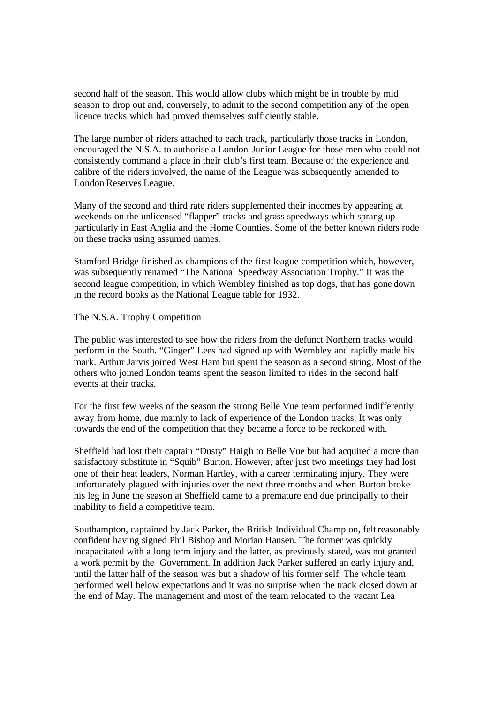second half of the season. This would allow clubs which might be in trouble by mid season to drop out and, conversely, to admit to the second competition any of the open licence tracks which had proved themselves sufficiently stable.

The large number of riders attached to each track, particularly those tracks in London, encouraged the N.S.A. to authorise a London Junior League for those men who could not consistently command a place in their club's first team. Because of the experience and calibre of the riders involved, the name of the League was subsequently amended to London Reserves League.

Many of the second and third rate riders supplemented their incomes by appearing at weekends on the unlicensed "flapper" tracks and grass speedways which sprang up particularly in East Anglia and the Home Counties. Some of the better known riders rode on these tracks using assumed names.

Stamford Bridge finished as champions of the first league competition which, however, was subsequently renamed "The National Speedway Association Trophy." It was the second league competition, in which Wembley finished as top dogs, that has gone down in the record books as the National League table for 1932.

## The N.S.A. Trophy Competition

The public was interested to see how the riders from the defunct Northern tracks would perform in the South. "Ginger" Lees had signed up with Wembley and rapidly made his mark. Arthur Jarvis joined West Ham but spent the season as a second string. Most of the others who joined London teams spent the season limited to rides in the second half events at their tracks.

For the first few weeks of the season the strong Belle Vue team performed indifferently away from home, due mainly to lack of experience of the London tracks. It was only towards the end of the competition that they became a force to be reckoned with.

Sheffield had lost their captain "Dusty" Haigh to Belle Vue but had acquired a more than satisfactory substitute in "Squib" Burton. However, after just two meetings they had lost one of their heat leaders, Norman Hartley, with a career terminating injury. They were unfortunately plagued with injuries over the next three months and when Burton broke his leg in June the season at Sheffield came to a premature end due principally to their inability to field a competitive team.

Southampton, captained by Jack Parker, the British Individual Champion, felt reasonably confident having signed Phil Bishop and Morian Hansen. The former was quickly incapacitated with a long term injury and the latter, as previously stated, was not granted a work permit by the Government. In addition Jack Parker suffered an early injury and, until the latter half of the season was but a shadow of his former self. The whole team performed well below expectations and it was no surprise when the track closed down at the end of May. The management and most of the team relocated to the vacant Lea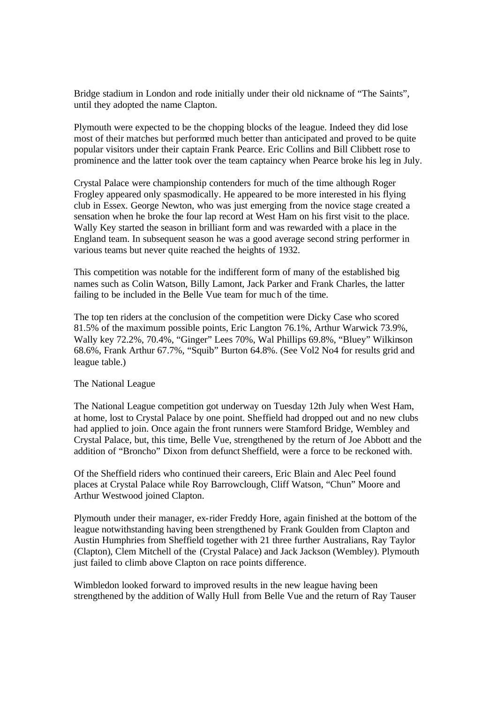Bridge stadium in London and rode initially under their old nickname of "The Saints", until they adopted the name Clapton.

Plymouth were expected to be the chopping blocks of the league. Indeed they did lose most of their matches but performed much better than anticipated and proved to be quite popular visitors under their captain Frank Pearce. Eric Collins and Bill Clibbett rose to prominence and the latter took over the team captaincy when Pearce broke his leg in July.

Crystal Palace were championship contenders for much of the time although Roger Frogley appeared only spasmodically. He appeared to be more interested in his flying club in Essex. George Newton, who was just emerging from the novice stage created a sensation when he broke the four lap record at West Ham on his first visit to the place. Wally Key started the season in brilliant form and was rewarded with a place in the England team. In subsequent season he was a good average second string performer in various teams but never quite reached the heights of 1932.

This competition was notable for the indifferent form of many of the established big names such as Colin Watson, Billy Lamont, Jack Parker and Frank Charles, the latter failing to be included in the Belle Vue team for much of the time.

The top ten riders at the conclusion of the competition were Dicky Case who scored 81.5% of the maximum possible points, Eric Langton 76.1%, Arthur Warwick 73.9%, Wally key 72.2%, 70.4%, "Ginger" Lees 70%, Wal Phillips 69.8%, "Bluey" Wilkinson 68.6%, Frank Arthur 67.7%, "Squib" Burton 64.8%. (See Vol2 No4 for results grid and league table.)

#### The National League

The National League competition got underway on Tuesday 12th July when West Ham, at home, lost to Crystal Palace by one point. Sheffield had dropped out and no new clubs had applied to join. Once again the front runners were Stamford Bridge, Wembley and Crystal Palace, but, this time, Belle Vue, strengthened by the return of Joe Abbott and the addition of "Broncho" Dixon from defunct Sheffield, were a force to be reckoned with.

Of the Sheffield riders who continued their careers, Eric Blain and Alec Peel found places at Crystal Palace while Roy Barrowclough, Cliff Watson, "Chun" Moore and Arthur Westwood joined Clapton.

Plymouth under their manager, ex-rider Freddy Hore, again finished at the bottom of the league notwithstanding having been strengthened by Frank Goulden from Clapton and Austin Humphries from Sheffield together with 21 three further Australians, Ray Taylor (Clapton), Clem Mitchell of the (Crystal Palace) and Jack Jackson (Wembley). Plymouth just failed to climb above Clapton on race points difference.

Wimbledon looked forward to improved results in the new league having been strengthened by the addition of Wally Hull from Belle Vue and the return of Ray Tauser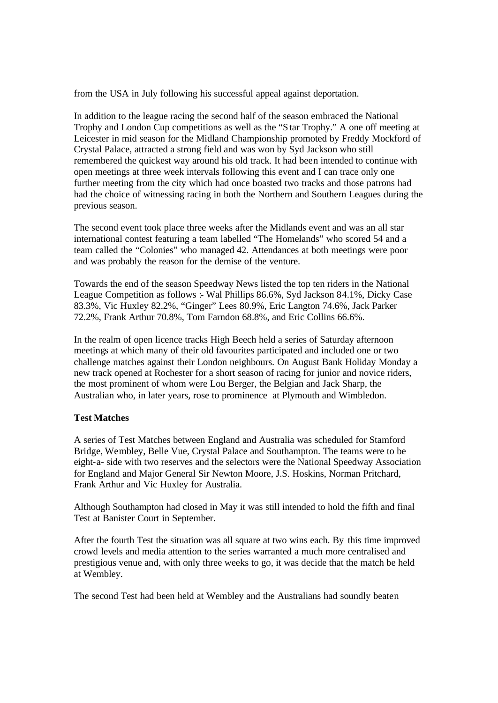from the USA in July following his successful appeal against deportation.

In addition to the league racing the second half of the season embraced the National Trophy and London Cup competitions as well as the "Star Trophy." A one off meeting at Leicester in mid season for the Midland Championship promoted by Freddy Mockford of Crystal Palace, attracted a strong field and was won by Syd Jackson who still remembered the quickest way around his old track. It had been intended to continue with open meetings at three week intervals following this event and I can trace only one further meeting from the city which had once boasted two tracks and those patrons had had the choice of witnessing racing in both the Northern and Southern Leagues during the previous season.

The second event took place three weeks after the Midlands event and was an all star international contest featuring a team labelled "The Homelands" who scored 54 and a team called the "Colonies" who managed 42. Attendances at both meetings were poor and was probably the reason for the demise of the venture.

Towards the end of the season Speedway News listed the top ten riders in the National League Competition as follows :- Wal Phillips 86.6%, Syd Jackson 84.1%, Dicky Case 83.3%, Vic Huxley 82.2%, "Ginger" Lees 80.9%, Eric Langton 74.6%, Jack Parker 72.2%, Frank Arthur 70.8%, Tom Farndon 68.8%, and Eric Collins 66.6%.

In the realm of open licence tracks High Beech held a series of Saturday afternoon meetings at which many of their old favourites participated and included one or two challenge matches against their London neighbours. On August Bank Holiday Monday a new track opened at Rochester for a short season of racing for junior and novice riders, the most prominent of whom were Lou Berger, the Belgian and Jack Sharp, the Australian who, in later years, rose to prominence at Plymouth and Wimbledon.

# **Test Matches**

A series of Test Matches between England and Australia was scheduled for Stamford Bridge, Wembley, Belle Vue, Crystal Palace and Southampton. The teams were to be eight-a- side with two reserves and the selectors were the National Speedway Association for England and Major General Sir Newton Moore, J.S. Hoskins, Norman Pritchard, Frank Arthur and Vic Huxley for Australia.

Although Southampton had closed in May it was still intended to hold the fifth and final Test at Banister Court in September.

After the fourth Test the situation was all square at two wins each. By this time improved crowd levels and media attention to the series warranted a much more centralised and prestigious venue and, with only three weeks to go, it was decide that the match be held at Wembley.

The second Test had been held at Wembley and the Australians had soundly beaten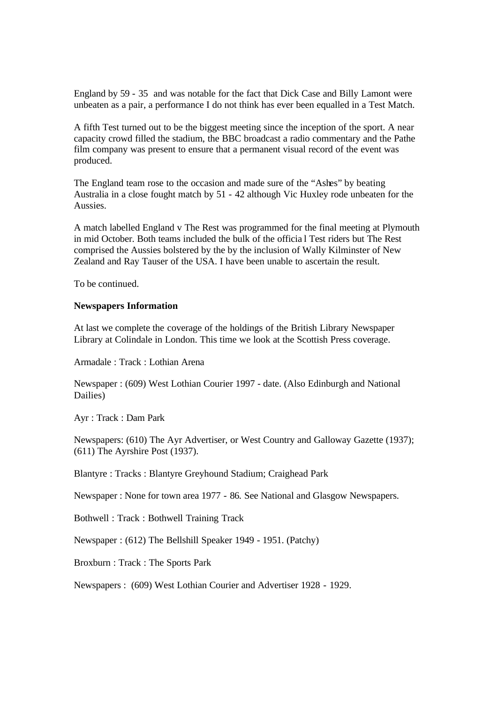England by 59 - 35 and was notable for the fact that Dick Case and Billy Lamont were unbeaten as a pair, a performance I do not think has ever been equalled in a Test Match.

A fifth Test turned out to be the biggest meeting since the inception of the sport. A near capacity crowd filled the stadium, the BBC broadcast a radio commentary and the Pathe film company was present to ensure that a permanent visual record of the event was produced.

The England team rose to the occasion and made sure of the "Ashes" by beating Australia in a close fought match by 51 - 42 although Vic Huxley rode unbeaten for the Aussies.

A match labelled England v The Rest was programmed for the final meeting at Plymouth in mid October. Both teams included the bulk of the officia l Test riders but The Rest comprised the Aussies bolstered by the by the inclusion of Wally Kilminster of New Zealand and Ray Tauser of the USA. I have been unable to ascertain the result.

To be continued.

## **Newspapers Information**

At last we complete the coverage of the holdings of the British Library Newspaper Library at Colindale in London. This time we look at the Scottish Press coverage.

Armadale : Track : Lothian Arena

Newspaper : (609) West Lothian Courier 1997 - date. (Also Edinburgh and National Dailies)

Ayr : Track : Dam Park

Newspapers: (610) The Ayr Advertiser, or West Country and Galloway Gazette (1937); (611) The Ayrshire Post (1937).

Blantyre : Tracks : Blantyre Greyhound Stadium; Craighead Park

Newspaper : None for town area 1977 - 86. See National and Glasgow Newspapers.

Bothwell : Track : Bothwell Training Track

Newspaper : (612) The Bellshill Speaker 1949 - 1951. (Patchy)

Broxburn : Track : The Sports Park

Newspapers : (609) West Lothian Courier and Advertiser 1928 - 1929.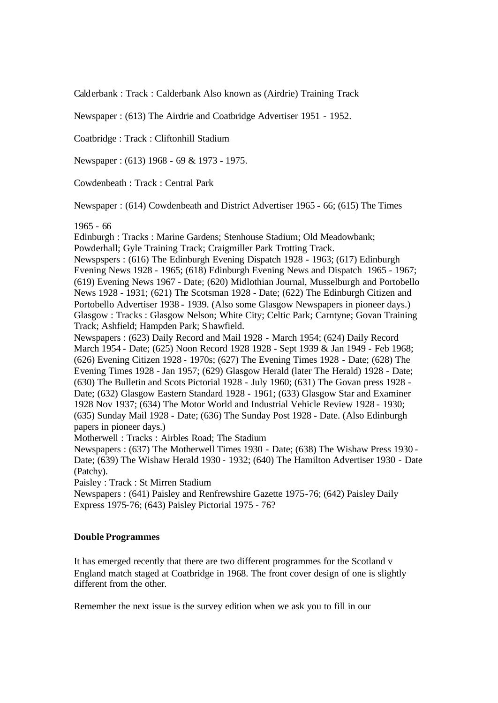Calderbank : Track : Calderbank Also known as (Airdrie) Training Track

Newspaper : (613) The Airdrie and Coatbridge Advertiser 1951 - 1952.

Coatbridge : Track : Cliftonhill Stadium

Newspaper : (613) 1968 - 69 & 1973 - 1975.

Cowdenbeath : Track : Central Park

Newspaper : (614) Cowdenbeath and District Advertiser 1965 - 66; (615) The Times

#### 1965 - 66

Edinburgh : Tracks : Marine Gardens; Stenhouse Stadium; Old Meadowbank; Powderhall; Gyle Training Track; Craigmiller Park Trotting Track.

Newspspers : (616) The Edinburgh Evening Dispatch 1928 - 1963; (617) Edinburgh Evening News 1928 - 1965; (618) Edinburgh Evening News and Dispatch 1965 - 1967; (619) Evening News 1967 - Date; (620) Midlothian Journal, Musselburgh and Portobello News 1928 - 1931; (621) The Scotsman 1928 - Date; (622) The Edinburgh Citizen and Portobello Advertiser 1938 - 1939. (Also some Glasgow Newspapers in pioneer days.) Glasgow : Tracks : Glasgow Nelson; White City; Celtic Park; Carntyne; Govan Training Track; Ashfield; Hampden Park; Shawfield.

Newspapers : (623) Daily Record and Mail 1928 - March 1954; (624) Daily Record March 1954 - Date; (625) Noon Record 1928 1928 - Sept 1939 & Jan 1949 - Feb 1968; (626) Evening Citizen 1928 - 1970s; (627) The Evening Times 1928 - Date; (628) The Evening Times 1928 - Jan 1957; (629) Glasgow Herald (later The Herald) 1928 - Date; (630) The Bulletin and Scots Pictorial 1928 - July 1960; (631) The Govan press 1928 - Date; (632) Glasgow Eastern Standard 1928 - 1961; (633) Glasgow Star and Examiner 1928 Nov 1937; (634) The Motor World and Industrial Vehicle Review 1928 - 1930; (635) Sunday Mail 1928 - Date; (636) The Sunday Post 1928 - Date. (Also Edinburgh papers in pioneer days.)

Motherwell : Tracks : Airbles Road; The Stadium

Newspapers : (637) The Motherwell Times 1930 - Date; (638) The Wishaw Press 1930 - Date; (639) The Wishaw Herald 1930 - 1932; (640) The Hamilton Advertiser 1930 - Date (Patchy).

Paisley : Track : St Mirren Stadium

Newspapers : (641) Paisley and Renfrewshire Gazette 1975-76; (642) Paisley Daily Express 1975-76; (643) Paisley Pictorial 1975 - 76?

## **Double Programmes**

It has emerged recently that there are two different programmes for the Scotland v England match staged at Coatbridge in 1968. The front cover design of one is slightly different from the other.

Remember the next issue is the survey edition when we ask you to fill in our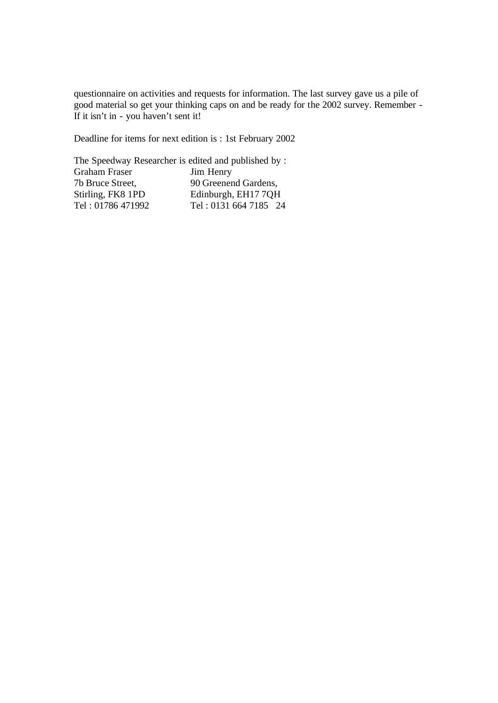questionnaire on activities and requests for information. The last survey gave us a pile of good material so get your thinking caps on and be ready for the 2002 survey. Remember - If it isn't in - you haven't sent it!

Deadline for items for next edition is : 1st February 2002

The Speedway Researcher is edited and published by : Graham Fraser Jim Henry 7b Bruce Street, 90 Greenend Gardens, Stirling, FK8 1PD Edinburgh, EH17 7QH Tel: 01786 471992 Tel: 0131 664 7185 24